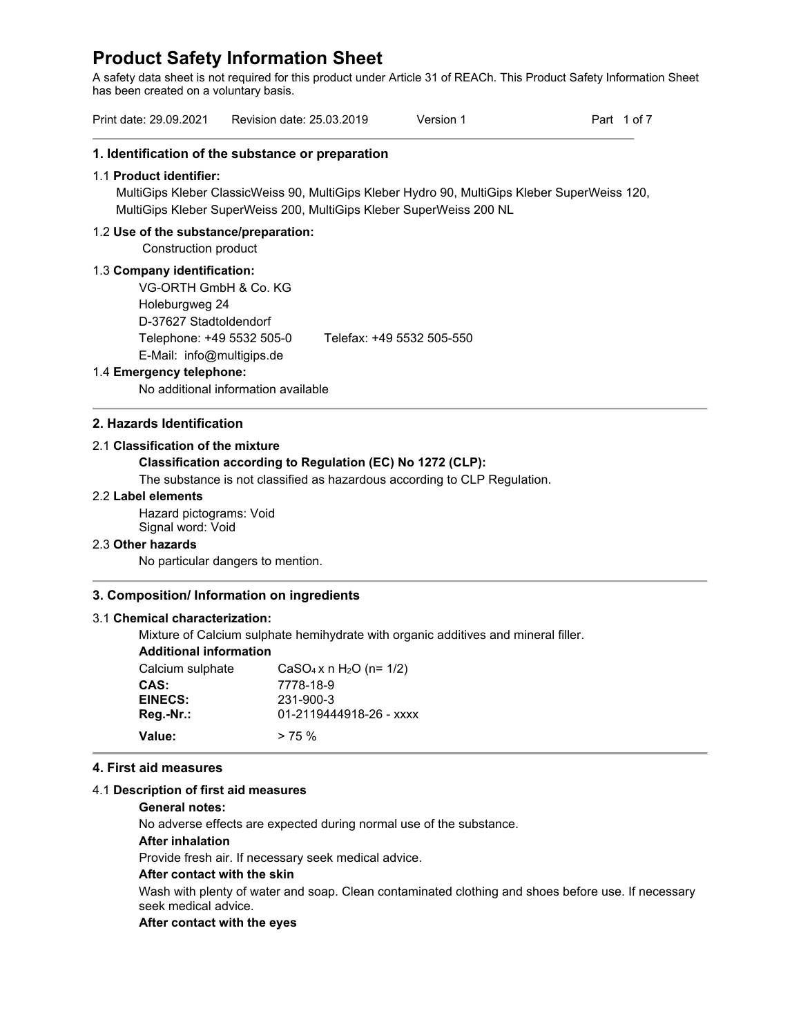A safety data sheet is not required for this product under Article 31 of REACh. This Product Safety Information Sheet has been created on a voluntary basis.

| Print date: 29.09.2021 | Revision date: 25.03.2019 | Version 1 | Part 1 of 7 |
|------------------------|---------------------------|-----------|-------------|
|------------------------|---------------------------|-----------|-------------|

### **1. Identification of the substance or preparation**

### 1.1 **Product identifier:**

MultiGips Kleber ClassicWeiss 90, MultiGips Kleber Hydro 90, MultiGips Kleber SuperWeiss 120, MultiGips Kleber SuperWeiss 200, MultiGips Kleber SuperWeiss 200 NL

### 1.2 **Use of the substance/preparation:**

Construction product

### 1.3 **Company identification:**

VG-ORTH GmbH & Co. KG Holeburgweg 24 D-37627 Stadtoldendorf Telephone: +49 5532 505-0 Telefax: +49 5532 505-550 E-Mail: info@multigips.de

### 1.4 **Emergency telephone:**

No additional information available

# **2. Hazards Identification**

### 2.1 **Classification of the mixture**

### **Classification according to Regulation (EC) No 1272 (CLP):**

The substance is not classified as hazardous according to CLP Regulation.

### 2.2 **Label elements**

Hazard pictograms: Void Signal word: Void

### 2.3 **Other hazards**

No particular dangers to mention.

### **3. Composition/ Information on ingredients**

### 3.1 **Chemical characterization:**

Mixture of Calcium sulphate hemihydrate with organic additives and mineral filler.

# **Additional information**

| Calcium sulphate | $CaSO_4 x n H_2O (n=1/2)$ |
|------------------|---------------------------|
| CAS:             | 7778-18-9                 |
| <b>EINECS:</b>   | 231-900-3                 |
| Reg.-Nr.:        | 01-2119444918-26 - xxxx   |
| Value:           | $> 75\%$                  |

### **4. First aid measures**

### 4.1 **Description of first aid measures**

### **General notes:**

No adverse effects are expected during normal use of the substance.

### **After inhalation**

Provide fresh air. If necessary seek medical advice.

### **After contact with the skin**

Wash with plenty of water and soap. Clean contaminated clothing and shoes before use. If necessary seek medical advice.

### **After contact with the eyes**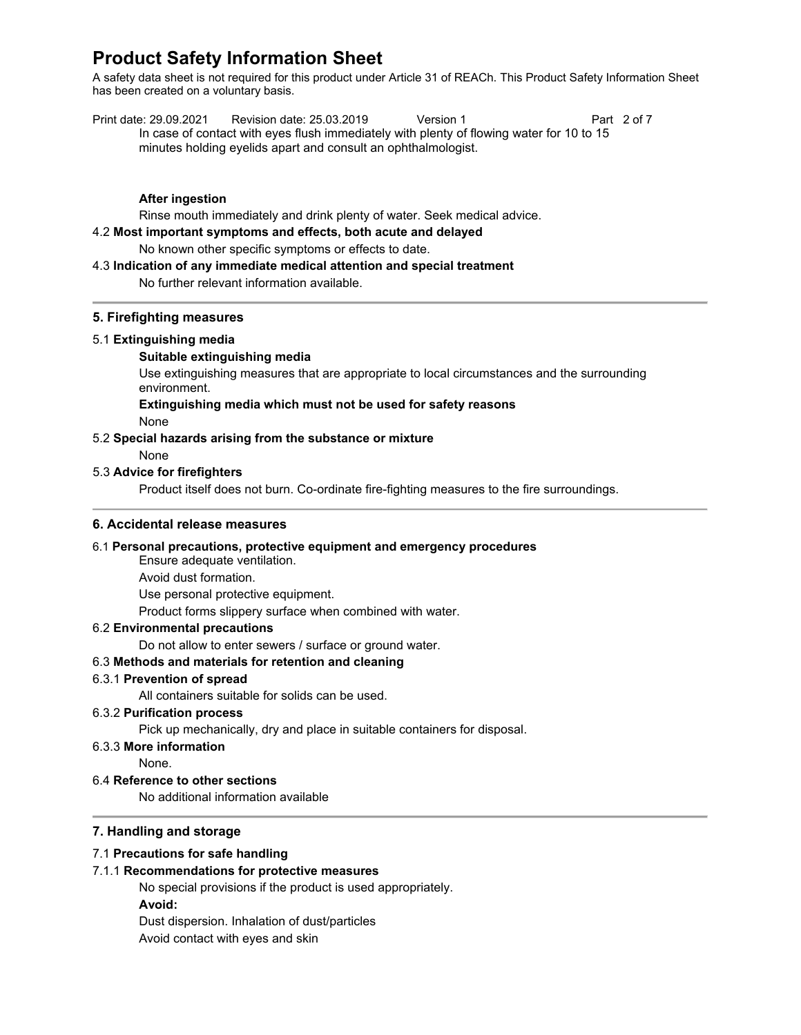A safety data sheet is not required for this product under Article 31 of REACh. This Product Safety Information Sheet has been created on a voluntary basis.

| Print date: 29.09.2021                                        | Revision date: 25.03.2019                                                                | Version 1 |  | Part 2 of 7 |
|---------------------------------------------------------------|------------------------------------------------------------------------------------------|-----------|--|-------------|
|                                                               | In case of contact with eyes flush immediately with plenty of flowing water for 10 to 15 |           |  |             |
| minutes holding eyelids apart and consult an ophthalmologist. |                                                                                          |           |  |             |

# **After ingestion**

Rinse mouth immediately and drink plenty of water. Seek medical advice.

4.2 **Most important symptoms and effects, both acute and delayed**

No known other specific symptoms or effects to date.

### 4.3 **Indication of any immediate medical attention and special treatment**

No further relevant information available.

# **5. Firefighting measures**

### 5.1 **Extinguishing media**

### **Suitable extinguishing media**

Use extinguishing measures that are appropriate to local circumstances and the surrounding environment.

### **Extinguishing media which must not be used for safety reasons**

None

### 5.2 **Special hazards arising from the substance or mixture**

None

### 5.3 **Advice for firefighters**

Product itself does not burn. Co-ordinate fire-fighting measures to the fire surroundings.

### **6. Accidental release measures**

### 6.1 **Personal precautions, protective equipment and emergency procedures**

Ensure adequate ventilation.

Avoid dust formation.

Use personal protective equipment.

Product forms slippery surface when combined with water.

### 6.2 **Environmental precautions**

Do not allow to enter sewers / surface or ground water.

# 6.3 **Methods and materials for retention and cleaning**

### 6.3.1 **Prevention of spread**

All containers suitable for solids can be used.

### 6.3.2 **Purification process**

Pick up mechanically, dry and place in suitable containers for disposal.

# 6.3.3 **More information**

None.

# 6.4 **Reference to other sections**

No additional information available

# **7. Handling and storage**

### 7.1 **Precautions for safe handling**

# 7.1.1 **Recommendations for protective measures**

No special provisions if the product is used appropriately. **Avoid:**  Dust dispersion. Inhalation of dust/particles

Avoid contact with eyes and skin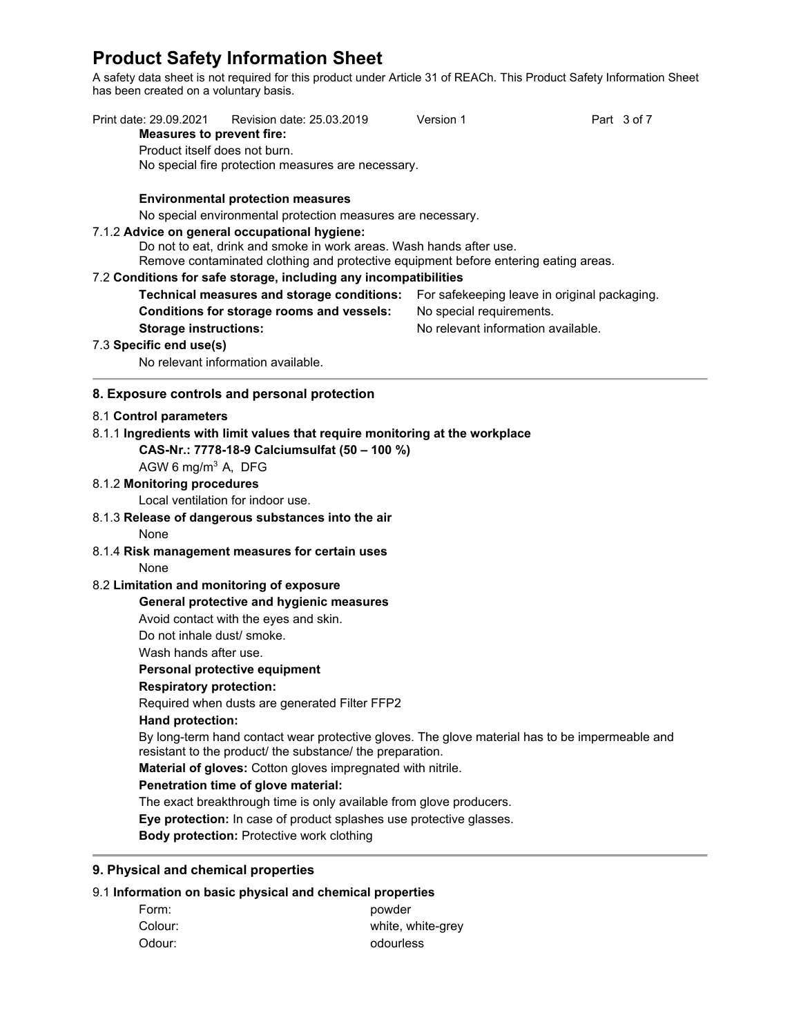A safety data sheet is not required for this product under Article 31 of REACh. This Product Safety Information Sheet has been created on a voluntary basis.

| Print date: 29.09.2021<br><b>Measures to prevent fire:</b> | Revision date: 25.03.2019                                                                                                                                   | Version 1                | Part 3 of 7                        |
|------------------------------------------------------------|-------------------------------------------------------------------------------------------------------------------------------------------------------------|--------------------------|------------------------------------|
| Product itself does not burn.                              | No special fire protection measures are necessary.                                                                                                          |                          |                                    |
|                                                            | <b>Environmental protection measures</b><br>No special environmental protection measures are necessary.                                                     |                          |                                    |
|                                                            | 7.1.2 Advice on general occupational hygiene:                                                                                                               |                          |                                    |
|                                                            | Do not to eat, drink and smoke in work areas. Wash hands after use.                                                                                         |                          |                                    |
|                                                            | Remove contaminated clothing and protective equipment before entering eating areas.                                                                         |                          |                                    |
|                                                            | 7.2 Conditions for safe storage, including any incompatibilities                                                                                            |                          |                                    |
|                                                            | Technical measures and storage conditions: For safekeeping leave in original packaging.                                                                     |                          |                                    |
|                                                            | Conditions for storage rooms and vessels:                                                                                                                   | No special requirements. |                                    |
| <b>Storage instructions:</b>                               |                                                                                                                                                             |                          | No relevant information available. |
| 7.3 Specific end use(s)                                    |                                                                                                                                                             |                          |                                    |
|                                                            | No relevant information available.                                                                                                                          |                          |                                    |
|                                                            | 8. Exposure controls and personal protection                                                                                                                |                          |                                    |
| 8.1 Control parameters                                     |                                                                                                                                                             |                          |                                    |
|                                                            | 8.1.1 Ingredients with limit values that require monitoring at the workplace                                                                                |                          |                                    |
|                                                            | CAS-Nr.: 7778-18-9 Calciumsulfat (50 - 100 %)                                                                                                               |                          |                                    |
| AGW 6 mg/m <sup>3</sup> A, DFG                             |                                                                                                                                                             |                          |                                    |
| 8.1.2 Monitoring procedures                                |                                                                                                                                                             |                          |                                    |
|                                                            | Local ventilation for indoor use.                                                                                                                           |                          |                                    |
|                                                            | 8.1.3 Release of dangerous substances into the air                                                                                                          |                          |                                    |
| None                                                       |                                                                                                                                                             |                          |                                    |
|                                                            | 8.1.4 Risk management measures for certain uses                                                                                                             |                          |                                    |
| None                                                       |                                                                                                                                                             |                          |                                    |
| 8.2 Limitation and monitoring of exposure                  |                                                                                                                                                             |                          |                                    |
|                                                            | General protective and hygienic measures                                                                                                                    |                          |                                    |
| Do not inhale dust/ smoke.                                 | Avoid contact with the eyes and skin.                                                                                                                       |                          |                                    |
| Wash hands after use.                                      |                                                                                                                                                             |                          |                                    |
|                                                            | Personal protective equipment                                                                                                                               |                          |                                    |
| <b>Respiratory protection:</b>                             |                                                                                                                                                             |                          |                                    |
|                                                            | Required when dusts are generated Filter FFP2                                                                                                               |                          |                                    |
| Hand protection:                                           |                                                                                                                                                             |                          |                                    |
|                                                            | By long-term hand contact wear protective gloves. The glove material has to be impermeable and<br>resistant to the product/ the substance/ the preparation. |                          |                                    |
|                                                            | Material of gloves: Cotton gloves impregnated with nitrile.                                                                                                 |                          |                                    |
|                                                            | Penetration time of glove material:                                                                                                                         |                          |                                    |
|                                                            | The exact breakthrough time is only available from glove producers.                                                                                         |                          |                                    |
|                                                            | Eye protection: In case of product splashes use protective glasses.                                                                                         |                          |                                    |
|                                                            | Body protection: Protective work clothing                                                                                                                   |                          |                                    |
| 9. Physical and chemical properties                        |                                                                                                                                                             |                          |                                    |
|                                                            | 9.1 Information on basic physical and chemical properties                                                                                                   |                          |                                    |
| Form:                                                      | powder                                                                                                                                                      |                          |                                    |
| Colour:                                                    |                                                                                                                                                             | white, white-grey        |                                    |

Odour: contract to contract of the odourless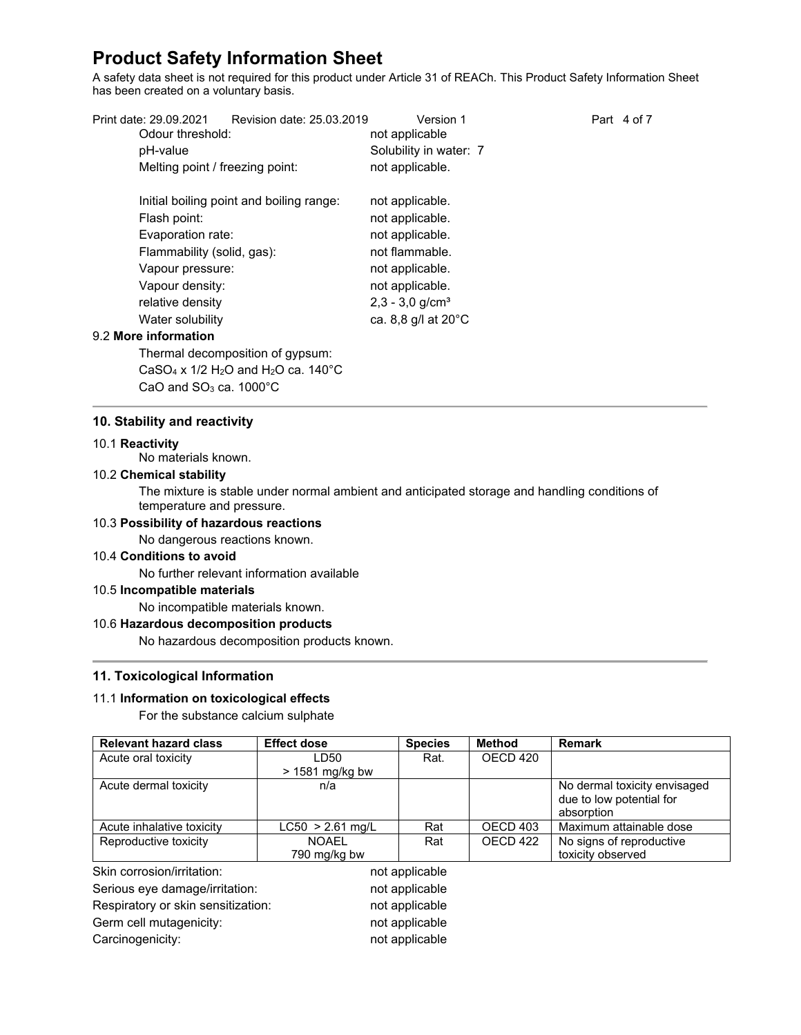A safety data sheet is not required for this product under Article 31 of REACh. This Product Safety Information Sheet has been created on a voluntary basis.

| Print date: 29.09.2021<br>Revision date: 25.03.2019 | Version 1                     | Part 4 of 7 |
|-----------------------------------------------------|-------------------------------|-------------|
| Odour threshold:                                    | not applicable                |             |
| pH-value                                            | Solubility in water: 7        |             |
| Melting point / freezing point:                     | not applicable.               |             |
| Initial boiling point and boiling range:            | not applicable.               |             |
| Flash point:                                        | not applicable.               |             |
| Evaporation rate:                                   | not applicable.               |             |
| Flammability (solid, gas):                          | not flammable.                |             |
| Vapour pressure:                                    | not applicable.               |             |
| Vapour density:                                     | not applicable.               |             |
| relative density                                    | $2,3 - 3,0$ g/cm <sup>3</sup> |             |
| Water solubility                                    | ca. 8,8 g/l at 20°C           |             |
| 9.2 More information                                |                               |             |
| Thermal decomposition of gypsum:                    |                               |             |
|                                                     |                               |             |

CaSO<sub>4</sub> x  $1/2$  H<sub>2</sub>O and H<sub>2</sub>O ca.  $140^{\circ}$ C

CaO and SO<sub>3</sub> ca. 1000°C

# **10. Stability and reactivity**

### 10.1 **Reactivity**

No materials known.

# 10.2 **Chemical stability**

The mixture is stable under normal ambient and anticipated storage and handling conditions of temperature and pressure.

# 10.3 **Possibility of hazardous reactions**

No dangerous reactions known.

# 10.4 **Conditions to avoid**

No further relevant information available

# 10.5 **Incompatible materials**

No incompatible materials known.

# 10.6 **Hazardous decomposition products**

No hazardous decomposition products known.

# **11. Toxicological Information**

# 11.1 **Information on toxicological effects**

For the substance calcium sulphate

| <b>Relevant hazard class</b>       | <b>Effect dose</b> | <b>Species</b> | <b>Method</b>       | <b>Remark</b>                |
|------------------------------------|--------------------|----------------|---------------------|------------------------------|
| Acute oral toxicity                | LD50               | Rat.           | OECD 420            |                              |
|                                    | $>$ 1581 mg/kg bw  |                |                     |                              |
| Acute dermal toxicity              | n/a                |                |                     | No dermal toxicity envisaged |
|                                    |                    |                |                     | due to low potential for     |
|                                    |                    |                |                     | absorption                   |
| Acute inhalative toxicity          | $LC50 > 2.61$ mg/L | Rat            | OECD <sub>403</sub> | Maximum attainable dose      |
| Reproductive toxicity              | <b>NOAEL</b>       | Rat            | OECD 422            | No signs of reproductive     |
|                                    | 790 mg/kg bw       |                |                     | toxicity observed            |
| Skin corrosion/irritation:         |                    | not applicable |                     |                              |
| Serious eye damage/irritation:     |                    | not applicable |                     |                              |
| Respiratory or skin sensitization: |                    | not applicable |                     |                              |
| Germ cell mutagenicity:            |                    | not applicable |                     |                              |
| Carcinogenicity:                   |                    | not applicable |                     |                              |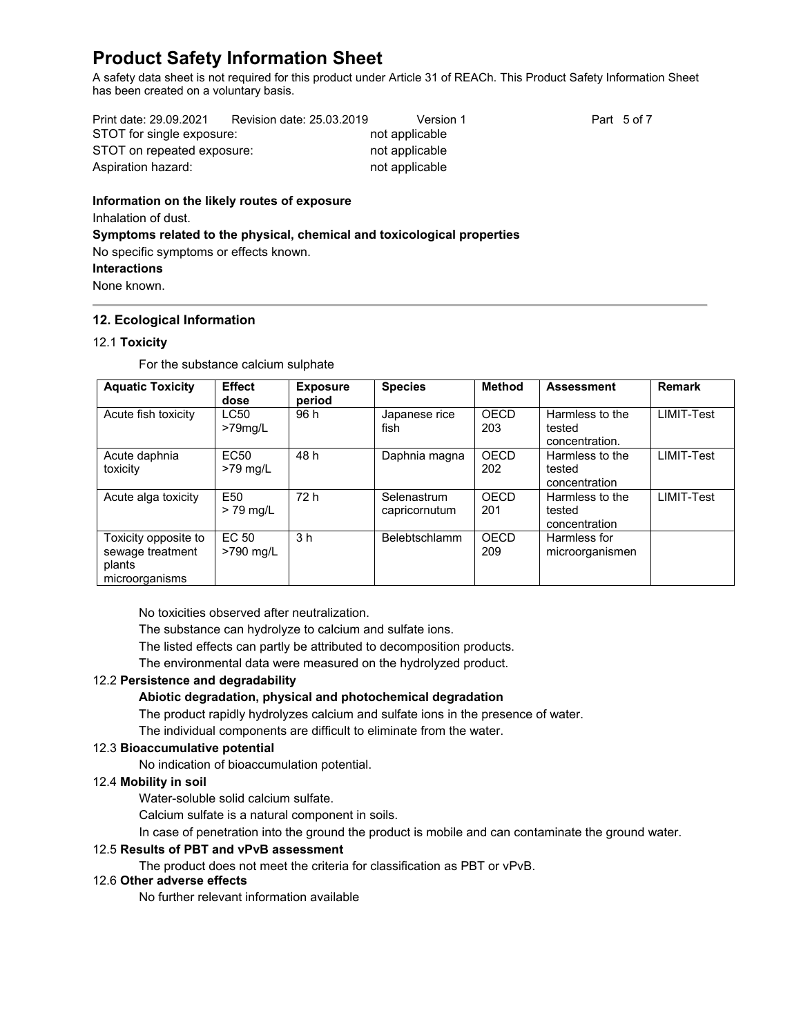A safety data sheet is not required for this product under Article 31 of REACh. This Product Safety Information Sheet has been created on a voluntary basis.

| Print date: 29.09.2021     | Revision date: 25.03.2019 | Version 1      | Part 5 of 7 |
|----------------------------|---------------------------|----------------|-------------|
| STOT for single exposure:  |                           | not applicable |             |
| STOT on repeated exposure: |                           | not applicable |             |
| Aspiration hazard:         |                           | not applicable |             |

# **Information on the likely routes of exposure** Inhalation of dust. **Symptoms related to the physical, chemical and toxicological properties** No specific symptoms or effects known.

# **Interactions**

None known.

# **12. Ecological Information**

# 12.1 **Toxicity**

For the substance calcium sulphate

| <b>Aquatic Toxicity</b>                                              | <b>Effect</b><br>dose        | <b>Exposure</b><br>period | <b>Species</b>               | Method      | <b>Assessment</b>                           | <b>Remark</b> |
|----------------------------------------------------------------------|------------------------------|---------------------------|------------------------------|-------------|---------------------------------------------|---------------|
| Acute fish toxicity                                                  | <b>LC50</b><br>$>79$ mg/L    | 96 h                      | Japanese rice<br>fish        | OECD<br>203 | Harmless to the<br>tested<br>concentration. | LIMIT-Test    |
| Acute daphnia<br>toxicity                                            | EC <sub>50</sub><br>>79 mg/L | 48 h                      | Daphnia magna                | OECD<br>202 | Harmless to the<br>tested<br>concentration  | LIMIT-Test    |
| Acute alga toxicity                                                  | E50<br>$> 79$ mg/L           | 72 h                      | Selenastrum<br>capricornutum | OECD<br>201 | Harmless to the<br>tested<br>concentration  | LIMIT-Test    |
| Toxicity opposite to<br>sewage treatment<br>plants<br>microorganisms | EC 50<br>>790 mg/L           | 3 <sub>h</sub>            | <b>Belebtschlamm</b>         | OECD<br>209 | Harmless for<br>microorganismen             |               |

No toxicities observed after neutralization.

The substance can hydrolyze to calcium and sulfate ions.

The listed effects can partly be attributed to decomposition products.

The environmental data were measured on the hydrolyzed product.

# 12.2 **Persistence and degradability**

# **Abiotic degradation, physical and photochemical degradation**

The product rapidly hydrolyzes calcium and sulfate ions in the presence of water.

The individual components are difficult to eliminate from the water.

# 12.3 **Bioaccumulative potential**

No indication of bioaccumulation potential.

# 12.4 **Mobility in soil**

Water-soluble solid calcium sulfate.

Calcium sulfate is a natural component in soils.

In case of penetration into the ground the product is mobile and can contaminate the ground water.

# 12.5 **Results of PBT and vPvB assessment**

The product does not meet the criteria for classification as PBT or vPvB.

# 12.6 **Other adverse effects**

No further relevant information available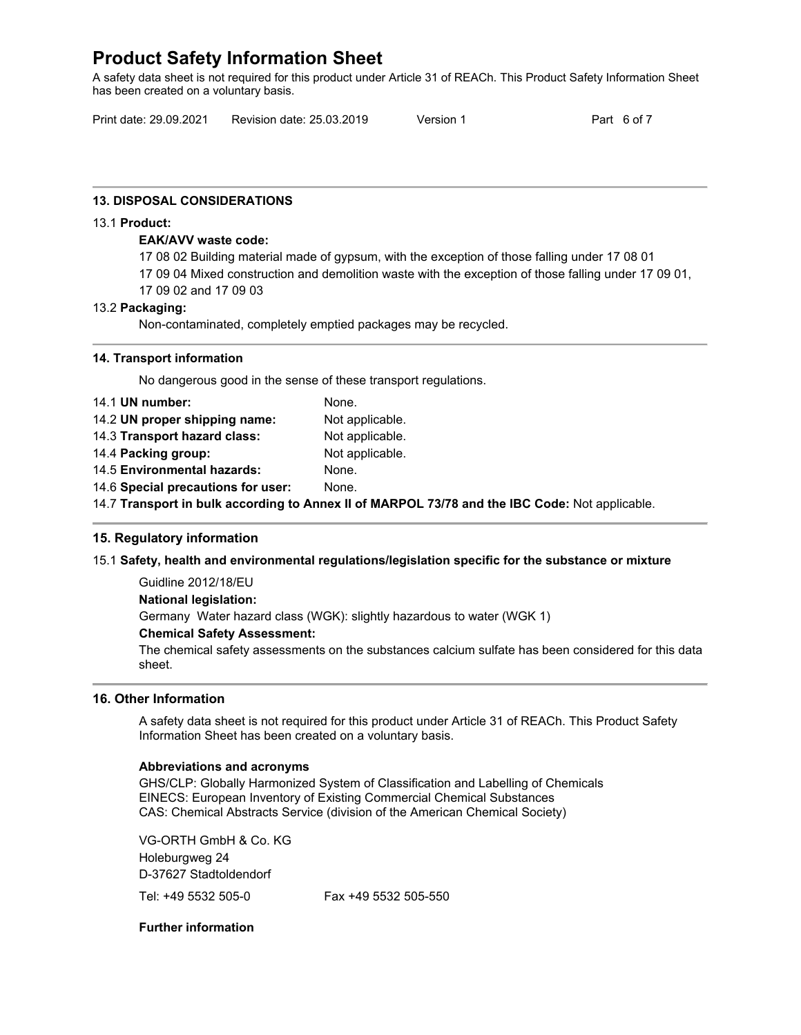A safety data sheet is not required for this product under Article 31 of REACh. This Product Safety Information Sheet has been created on a voluntary basis.

Print date: 29.09.2021 Revision date: 25.03.2019 Version 1 Part 6 of 7

# **13. DISPOSAL CONSIDERATIONS**

### 13.1 **Product:**

### **EAK/AVV waste code:**

17 08 02 Building material made of gypsum, with the exception of those falling under 17 08 01

- 17 09 04 Mixed construction and demolition waste with the exception of those falling under 17 09 01,
- 17 09 02 and 17 09 03

### 13.2 **Packaging:**

Non-contaminated, completely emptied packages may be recycled.

### **14. Transport information**

No dangerous good in the sense of these transport regulations.

| 14.1 UN number:                    | None.                                                                                          |
|------------------------------------|------------------------------------------------------------------------------------------------|
| 14.2 UN proper shipping name:      | Not applicable.                                                                                |
| 14.3 Transport hazard class:       | Not applicable.                                                                                |
| 14.4 Packing group:                | Not applicable.                                                                                |
| 14.5 Environmental hazards:        | None.                                                                                          |
| 14.6 Special precautions for user: | None.                                                                                          |
|                                    | 14.7 Transport in bulk according to Annex II of MARPOL 73/78 and the IBC Code: Not applicable. |

# **15. Regulatory information**

# 15.1 **Safety, health and environmental regulations/legislation specific for the substance or mixture**

Guidline 2012/18/EU **National legislation:** Germany Water hazard class (WGK): slightly hazardous to water (WGK 1)

# **Chemical Safety Assessment:**

The chemical safety assessments on the substances calcium sulfate has been considered for this data sheet.

# **16. Other Information**

A safety data sheet is not required for this product under Article 31 of REACh. This Product Safety Information Sheet has been created on a voluntary basis.

### **Abbreviations and acronyms**

GHS/CLP: Globally Harmonized System of Classification and Labelling of Chemicals EINECS: European Inventory of Existing Commercial Chemical Substances CAS: Chemical Abstracts Service (division of the American Chemical Society)

VG-ORTH GmbH & Co. KG Holeburgweg 24 D-37627 Stadtoldendorf

Tel: +49 5532 505-0 Fax +49 5532 505-550

# **Further information**